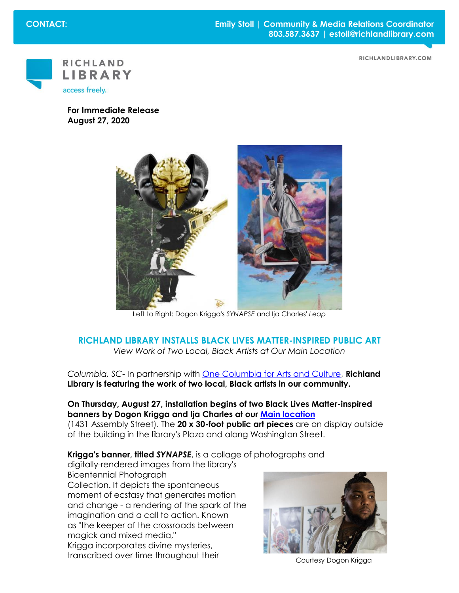**CONTACT: Emily Stoll | Community & Media Relations Coordinator 803.587.3637 | estoll@richlandlibrary.com** 





**For Immediate Release August 27, 2020**



Left to Right: Dogon Krigga's *SYNAPSE* and Ija Charles' *Leap*

## **RICHLAND LIBRARY INSTALLS BLACK LIVES MATTER-INSPIRED PUBLIC ART** *View Work of Two Local, Black Artists at Our Main Location*

*Columbia, SC*- In partnership with [One Columbia for Arts and Culture,](https://www.onecolumbiasc.com/) **Richland Library is featuring the work of two local, Black artists in our community.**

## **On Thursday, August 27, installation begins of two Black Lives Matter-inspired banners by Dogon Krigga and Ija Charles at our [Main location](https://www.richlandlibrary.com/locations/main)**

(1431 Assembly Street). The **20 x 30-foot public art pieces** are on display outside of the building in the library's Plaza and along Washington Street.

**Krigga's banner, titled** *SYNAPSE*, is a collage of photographs and

digitally-rendered images from the library's Bicentennial Photograph Collection. It depicts the spontaneous moment of ecstasy that generates motion and change - a rendering of the spark of the imagination and a call to action. Known as "the keeper of the crossroads between magick and mixed media," Krigga incorporates divine mysteries, transcribed over time throughout their Courtesy Dogon Krigga